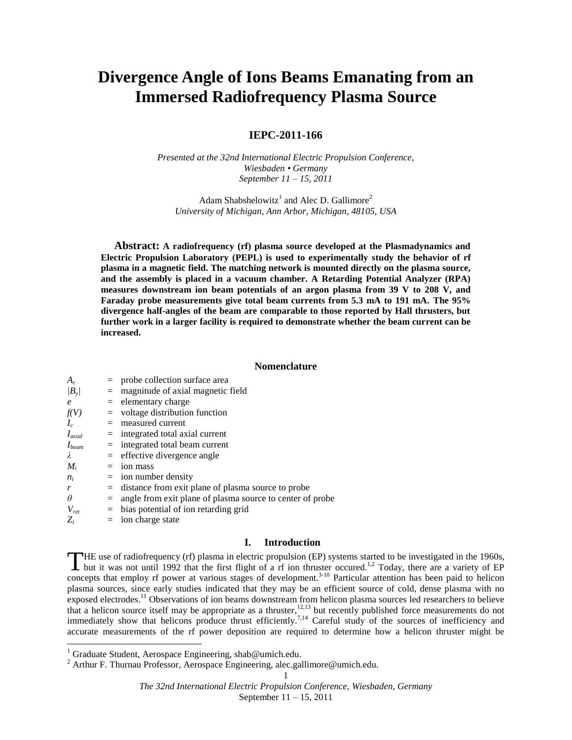# **Divergence Angle of Ions Beams Emanating from an Immersed Radiofrequency Plasma Source**

# **IEPC-2011-166**

*Presented at the 32nd International Electric Propulsion Conference, Wiesbaden • Germany September 11 – 15, 2011*

Adam Shabshelowitz<sup>1</sup> and Alec D. Gallimore<sup>2</sup> *University of Michigan, Ann Arbor, Michigan, 48105, USA*

**Abstract: A radiofrequency (rf) plasma source developed at the Plasmadynamics and Electric Propulsion Laboratory (PEPL) is used to experimentally study the behavior of rf plasma in a magnetic field. The matching network is mounted directly on the plasma source, and the assembly is placed in a vacuum chamber. A Retarding Potential Analyzer (RPA) measures downstream ion beam potentials of an argon plasma from 39 V to 208 V, and Faraday probe measurements give total beam currents from 5.3 mA to 191 mA. The 95% divergence half-angles of the beam are comparable to those reported by Hall thrusters, but further work in a larger facility is required to demonstrate whether the beam current can be increased.**

### **Nomenclature**

| $A_c$         |     | $=$ probe collection surface area                             |
|---------------|-----|---------------------------------------------------------------|
| $ B_{\rm v} $ | $=$ | magnitude of axial magnetic field                             |
| $\epsilon$    |     | $=$ elementary charge                                         |
| f(V)          |     | $=$ voltage distribution function                             |
| $I_c$         |     | $=$ measured current                                          |
| $I_{axial}$   |     | $=$ integrated total axial current                            |
| $I_{beam}$    |     | $=$ integrated total beam current                             |
| λ             |     | $=$ effective divergence angle                                |
| $M_i$         |     | $=$ ion mass                                                  |
| $n_i$         |     | $=$ ion number density                                        |
| r             |     | $=$ distance from exit plane of plasma source to probe        |
| $\theta$      |     | $=$ angle from exit plane of plasma source to center of probe |
| $V_{ret}$     |     | $=$ bias potential of ion retarding grid                      |
| $Z_i$         |     | $=$ ion charge state                                          |

## **I. Introduction**

**HE** use of radiofrequency (rf) plasma in electric propulsion (EP) systems started to be investigated in the 1960s, but it was not until 1992 that the first flight of a rf ion thruster occured.<sup>1,2</sup> Today, there are a variety of EP THE use of radiofrequency (rf) plasma in electric propulsion (EP) systems started to be investigated in the 1960s, but it was not until 1992 that the first flight of a rf ion thruster occured.<sup>1,2</sup> Today, there are a varie plasma sources, since early studies indicated that they may be an efficient source of cold, dense plasma with no exposed electrodes.<sup>11</sup> Observations of ion beams downstream from helicon plasma sources led researchers to believe that a helicon source itself may be appropriate as a thruster,<sup>12,13</sup> but recently published force measurements do not immediately show that helicons produce thrust efficiently.<sup>7,14</sup> Careful study of the sources of inefficiency and accurate measurements of the rf power deposition are required to determine how a helicon thruster might be

l

<sup>&</sup>lt;sup>1</sup> Graduate Student, Aerospace Engineering, shab@umich.edu.

<sup>&</sup>lt;sup>2</sup> Arthur F. Thurnau Professor, Aerospace Engineering, alec.gallimore@umich.edu.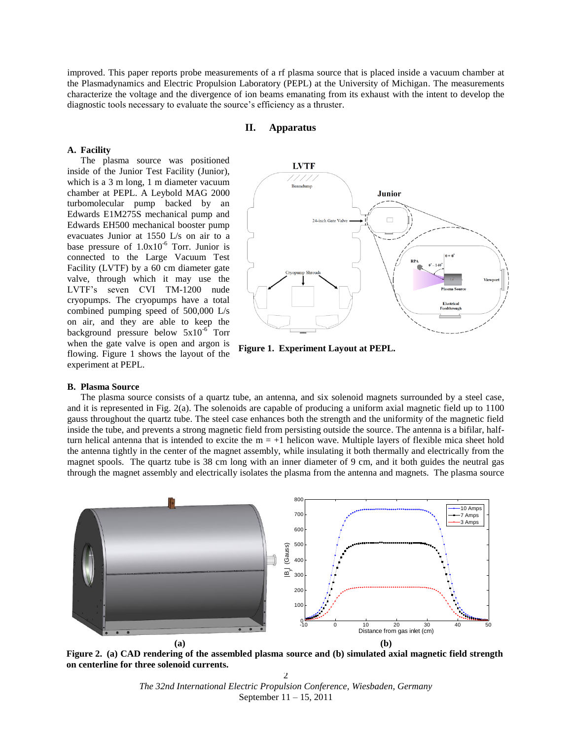improved. This paper reports probe measurements of a rf plasma source that is placed inside a vacuum chamber at the Plasmadynamics and Electric Propulsion Laboratory (PEPL) at the University of Michigan. The measurements characterize the voltage and the divergence of ion beams emanating from its exhaust with the intent to develop the diagnostic tools necessary to evaluate the source's efficiency as a thruster.

# **II. Apparatus**

## **A. Facility**

The plasma source was positioned inside of the Junior Test Facility (Junior), which is a 3 m long, 1 m diameter vacuum chamber at PEPL. A Leybold MAG 2000 turbomolecular pump backed by an Edwards E1M275S mechanical pump and Edwards EH500 mechanical booster pump evacuates Junior at 1550 L/s on air to a base pressure of  $1.0x10^{-6}$  Torr. Junior is connected to the Large Vacuum Test Facility (LVTF) by a 60 cm diameter gate valve, through which it may use the LVTF's seven CVI TM-1200 nude cryopumps. The cryopumps have a total combined pumping speed of 500,000 L/s on air, and they are able to keep the background pressure below  $5x10^{-6}$  Torr when the gate valve is open and argon is flowing. Figure 1 shows the layout of the experiment at PEPL.



**Figure 1. Experiment Layout at PEPL.**

### **B. Plasma Source**

The plasma source consists of a quartz tube, an antenna, and six solenoid magnets surrounded by a steel case, and it is represented in Fig. 2(a). The solenoids are capable of producing a uniform axial magnetic field up to 1100 gauss throughout the quartz tube. The steel case enhances both the strength and the uniformity of the magnetic field inside the tube, and prevents a strong magnetic field from persisting outside the source. The antenna is a bifilar, halfturn helical antenna that is intended to excite the  $m = +1$  helicon wave. Multiple layers of flexible mica sheet hold the antenna tightly in the center of the magnet assembly, while insulating it both thermally and electrically from the magnet spools. The quartz tube is 38 cm long with an inner diameter of 9 cm, and it both guides the neutral gas through the magnet assembly and electrically isolates the plasma from the antenna and magnets. The plasma source



**Figure 2. (a) CAD rendering of the assembled plasma source and (b) simulated axial magnetic field strength on centerline for three solenoid currents.**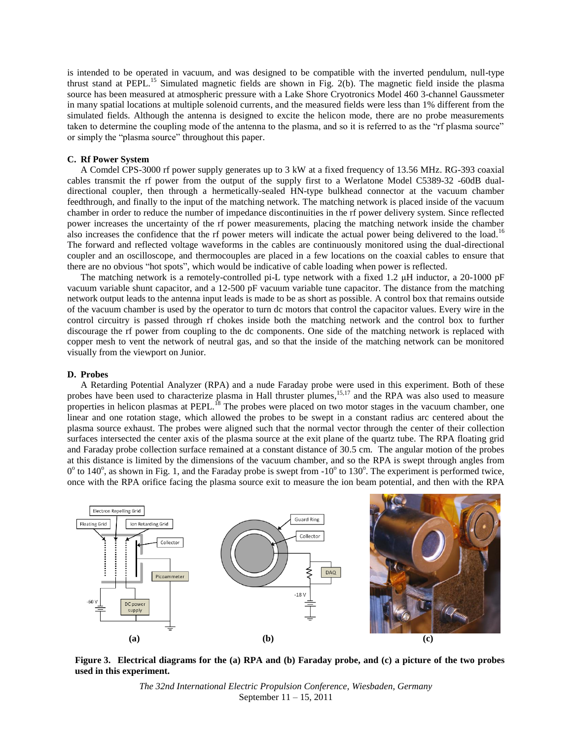is intended to be operated in vacuum, and was designed to be compatible with the inverted pendulum, null-type thrust stand at PEPL.<sup>15</sup> Simulated magnetic fields are shown in Fig. 2(b). The magnetic field inside the plasma source has been measured at atmospheric pressure with a Lake Shore Cryotronics Model 460 3-channel Gaussmeter in many spatial locations at multiple solenoid currents, and the measured fields were less than 1% different from the simulated fields. Although the antenna is designed to excite the helicon mode, there are no probe measurements taken to determine the coupling mode of the antenna to the plasma, and so it is referred to as the "rf plasma source" or simply the "plasma source" throughout this paper.

## **C. Rf Power System**

A Comdel CPS-3000 rf power supply generates up to 3 kW at a fixed frequency of 13.56 MHz. RG-393 coaxial cables transmit the rf power from the output of the supply first to a Werlatone Model C5389-32 -60dB dualdirectional coupler, then through a hermetically-sealed HN-type bulkhead connector at the vacuum chamber feedthrough, and finally to the input of the matching network. The matching network is placed inside of the vacuum chamber in order to reduce the number of impedance discontinuities in the rf power delivery system. Since reflected power increases the uncertainty of the rf power measurements, placing the matching network inside the chamber also increases the confidence that the rf power meters will indicate the actual power being delivered to the load.<sup>16</sup> The forward and reflected voltage waveforms in the cables are continuously monitored using the dual-directional coupler and an oscilloscope, and thermocouples are placed in a few locations on the coaxial cables to ensure that there are no obvious "hot spots", which would be indicative of cable loading when power is reflected.

The matching network is a remotely-controlled pi-L type network with a fixed 1.2 μH inductor, a 20-1000 pF vacuum variable shunt capacitor, and a 12-500 pF vacuum variable tune capacitor. The distance from the matching network output leads to the antenna input leads is made to be as short as possible. A control box that remains outside of the vacuum chamber is used by the operator to turn dc motors that control the capacitor values. Every wire in the control circuitry is passed through rf chokes inside both the matching network and the control box to further discourage the rf power from coupling to the dc components. One side of the matching network is replaced with copper mesh to vent the network of neutral gas, and so that the inside of the matching network can be monitored visually from the viewport on Junior.

#### **D. Probes**

A Retarding Potential Analyzer (RPA) and a nude Faraday probe were used in this experiment. Both of these probes have been used to characterize plasma in Hall thruster plumes,<sup>15,17</sup> and the RPA was also used to measure properties in helicon plasmas at PEPL.<sup>18</sup> The probes were placed on two motor stages in the vacuum chamber, one linear and one rotation stage, which allowed the probes to be swept in a constant radius arc centered about the plasma source exhaust. The probes were aligned such that the normal vector through the center of their collection surfaces intersected the center axis of the plasma source at the exit plane of the quartz tube. The RPA floating grid and Faraday probe collection surface remained at a constant distance of 30.5 cm. The angular motion of the probes at this distance is limited by the dimensions of the vacuum chamber, and so the RPA is swept through angles from  $0^{\circ}$  to 140°, as shown in Fig. 1, and the Faraday probe is swept from -10° to 130°. The experiment is performed twice, once with the RPA orifice facing the plasma source exit to measure the ion beam potential, and then with the RPA



**Figure 3. Electrical diagrams for the (a) RPA and (b) Faraday probe, and (c) a picture of the two probes used in this experiment.**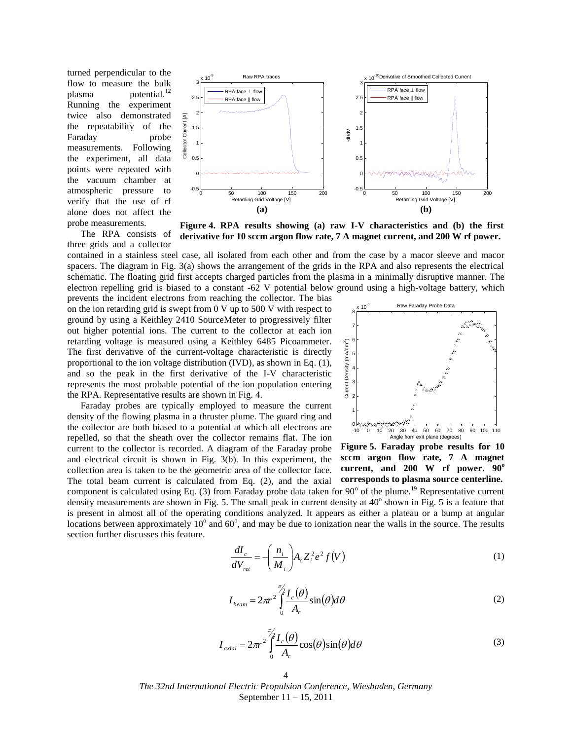turned perpendicular to the flow to measure the bulk plasma potential.<sup>12</sup> Running the experiment twice also demonstrated the repeatability of the Faraday probe measurements. Following the experiment, all data points were repeated with the vacuum chamber at atmospheric pressure to verify that the use of rf alone does not affect the probe measurements.

The RPA consists of three grids and a collector



**Figure 4. RPA results showing (a) raw I-V characteristics and (b) the first derivative for 10 sccm argon flow rate, 7 A magnet current, and 200 W rf power.** 

contained in a stainless steel case, all isolated from each other and from the case by a macor sleeve and macor spacers. The diagram in Fig. 3(a) shows the arrangement of the grids in the RPA and also represents the electrical schematic. The floating grid first accepts charged particles from the plasma in a minimally disruptive manner. The electron repelling grid is biased to a constant -62 V potential below ground using a high-voltage battery, which

prevents the incident electrons from reaching the collector. The bias on the ion retarding grid is swept from 0 V up to 500 V with respect to ground by using a Keithley 2410 SourceMeter to progressively filter out higher potential ions. The current to the collector at each ion retarding voltage is measured using a Keithley 6485 Picoammeter. The first derivative of the current-voltage characteristic is directly proportional to the ion voltage distribution (IVD), as shown in Eq. (1), and so the peak in the first derivative of the I-V characteristic represents the most probable potential of the ion population entering the RPA. Representative results are shown in Fig. 4.

Faraday probes are typically employed to measure the current density of the flowing plasma in a thruster plume. The guard ring and the collector are both biased to a potential at which all electrons are repelled, so that the sheath over the collector remains flat. The ion current to the collector is recorded. A diagram of the Faraday probe and electrical circuit is shown in Fig. 3(b). In this experiment, the collection area is taken to be the geometric area of the collector face. The total beam current is calculated from Eq. (2), and the axial component is calculated using Eq. (3) from Faraday probe data taken for  $90^{\circ}$  of the plume.<sup>19</sup> Representative current density measurements are shown in Fig. 5. The small peak in current density at  $40^{\circ}$  shown in Fig. 5 is a feature that is present in almost all of the operating conditions analyzed. It appears as either a plateau or a bump at angular locations between approximately  $10^{\circ}$  and  $60^{\circ}$ , and may be due to ionization near the walls in the source. The results section further discusses this feature.

-10 0 10 20 30 40 50 60 70 80 90 100 110 0 1 2 3 4 5 6 7 8 x 10-5 Angle from exit plane (degrees) Current Density (mA/cm 2

Raw Faraday Probe Data

**Figure 5. Faraday probe results for 10 sccm argon flow rate, 7 A magnet current, and 200 W rf power. 90<sup>o</sup> corresponds to plasma source centerline.**

(1)  $\left(\frac{n_i}{M_i}\right)A_cZ_i^2e^2f(V)$ *dV dI*  $c$   $\boldsymbol{\iota}$  *i i i ret*  $\frac{c}{M} = -\frac{h_i}{M} A_c Z_i^2 e^2$ J  $\backslash$  $\overline{\phantom{a}}$  $\setminus$  $= -$ 

$$
I_{beam} = 2\pi r^2 \int_0^{\frac{\pi}{2}} \frac{I_c(\theta)}{A_c} \sin(\theta) d\theta
$$
 (2)

$$
I_{axial} = 2\pi r^2 \int_0^{\pi/2} \frac{I_c(\theta)}{A_c} \cos(\theta) \sin(\theta) d\theta
$$
 (3)

4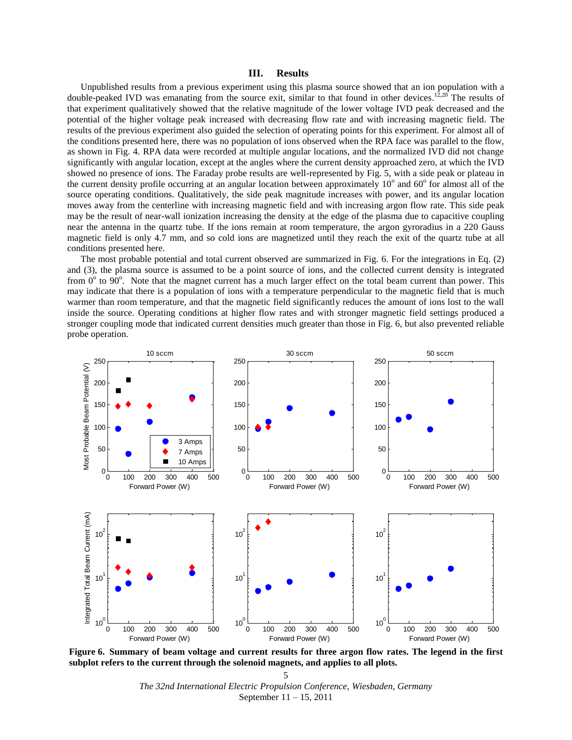## **III. Results**

Unpublished results from a previous experiment using this plasma source showed that an ion population with a double-peaked IVD was emanating from the source exit, similar to that found in other devices.<sup>12,20</sup> The results of that experiment qualitatively showed that the relative magnitude of the lower voltage IVD peak decreased and the potential of the higher voltage peak increased with decreasing flow rate and with increasing magnetic field. The results of the previous experiment also guided the selection of operating points for this experiment. For almost all of the conditions presented here, there was no population of ions observed when the RPA face was parallel to the flow, as shown in Fig. 4. RPA data were recorded at multiple angular locations, and the normalized IVD did not change significantly with angular location, except at the angles where the current density approached zero, at which the IVD showed no presence of ions. The Faraday probe results are well-represented by Fig. 5, with a side peak or plateau in the current density profile occurring at an angular location between approximately  $10^{\circ}$  and  $60^{\circ}$  for almost all of the source operating conditions. Qualitatively, the side peak magnitude increases with power, and its angular location moves away from the centerline with increasing magnetic field and with increasing argon flow rate. This side peak may be the result of near-wall ionization increasing the density at the edge of the plasma due to capacitive coupling near the antenna in the quartz tube. If the ions remain at room temperature, the argon gyroradius in a 220 Gauss magnetic field is only 4.7 mm, and so cold ions are magnetized until they reach the exit of the quartz tube at all conditions presented here.

The most probable potential and total current observed are summarized in Fig. 6. For the integrations in Eq. (2) and (3), the plasma source is assumed to be a point source of ions, and the collected current density is integrated from  $0^{\circ}$  to  $90^{\circ}$ . Note that the magnet current has a much larger effect on the total beam current than power. This may indicate that there is a population of ions with a temperature perpendicular to the magnetic field that is much warmer than room temperature, and that the magnetic field significantly reduces the amount of ions lost to the wall inside the source. Operating conditions at higher flow rates and with stronger magnetic field settings produced a stronger coupling mode that indicated current densities much greater than those in Fig. 6, but also prevented reliable probe operation.



**Figure 6. Summary of beam voltage and current results for three argon flow rates. The legend in the first subplot refers to the current through the solenoid magnets, and applies to all plots.**

*The 32nd International Electric Propulsion Conference, Wiesbaden, Germany* September 11 – 15, 2011 5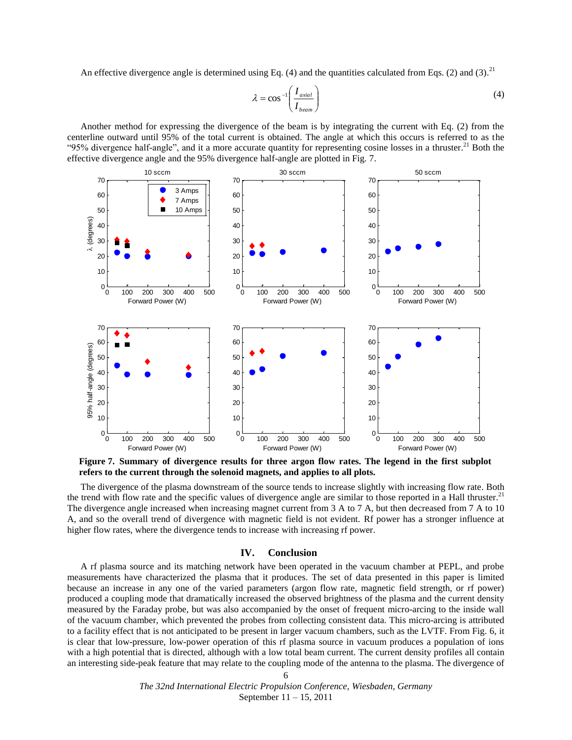An effective divergence angle is determined using Eq. (4) and the quantities calculated from Eqs. (2) and (3).<sup>21</sup>

$$
\lambda = \cos^{-1}\left(\frac{I_{axial}}{I_{beam}}\right) \tag{4}
$$

Another method for expressing the divergence of the beam is by integrating the current with Eq. (2) from the centerline outward until 95% of the total current is obtained. The angle at which this occurs is referred to as the "95% divergence half-angle", and it a more accurate quantity for representing cosine losses in a thruster.<sup>21</sup> Both the effective divergence angle and the 95% divergence half-angle are plotted in Fig. 7.



**Figure 7. Summary of divergence results for three argon flow rates. The legend in the first subplot refers to the current through the solenoid magnets, and applies to all plots.**

The divergence of the plasma downstream of the source tends to increase slightly with increasing flow rate. Both the trend with flow rate and the specific values of divergence angle are similar to those reported in a Hall thruster.<sup>21</sup> The divergence angle increased when increasing magnet current from 3 A to 7 A, but then decreased from 7 A to 10 A, and so the overall trend of divergence with magnetic field is not evident. Rf power has a stronger influence at higher flow rates, where the divergence tends to increase with increasing rf power.

## **IV. Conclusion**

A rf plasma source and its matching network have been operated in the vacuum chamber at PEPL, and probe measurements have characterized the plasma that it produces. The set of data presented in this paper is limited because an increase in any one of the varied parameters (argon flow rate, magnetic field strength, or rf power) produced a coupling mode that dramatically increased the observed brightness of the plasma and the current density measured by the Faraday probe, but was also accompanied by the onset of frequent micro-arcing to the inside wall of the vacuum chamber, which prevented the probes from collecting consistent data. This micro-arcing is attributed to a facility effect that is not anticipated to be present in larger vacuum chambers, such as the LVTF. From Fig. 6, it is clear that low-pressure, low-power operation of this rf plasma source in vacuum produces a population of ions with a high potential that is directed, although with a low total beam current. The current density profiles all contain an interesting side-peak feature that may relate to the coupling mode of the antenna to the plasma. The divergence of

6